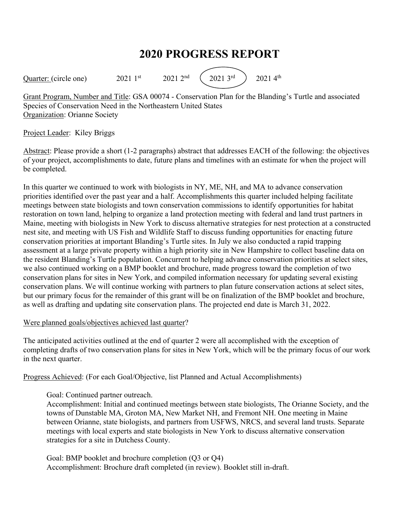# **2020 PROGRESS REPORT**

Quarter: (circle one)  $2021 \text{ 1st}$   $2021 \text{ 2nd}$   $(2021 \text{ 3rd})$   $2021 \text{ 4th}$ 

Grant Program, Number and Title: GSA 00074 - Conservation Plan for the Blanding's Turtle and associated Species of Conservation Need in the Northeastern United States Organization: Orianne Society

# Project Leader: Kiley Briggs

Abstract: Please provide a short (1-2 paragraphs) abstract that addresses EACH of the following: the objectives of your project, accomplishments to date, future plans and timelines with an estimate for when the project will be completed.

In this quarter we continued to work with biologists in NY, ME, NH, and MA to advance conservation priorities identified over the past year and a half. Accomplishments this quarter included helping facilitate meetings between state biologists and town conservation commissions to identify opportunities for habitat restoration on town land, helping to organize a land protection meeting with federal and land trust partners in Maine, meeting with biologists in New York to discuss alternative strategies for nest protection at a constructed nest site, and meeting with US Fish and Wildlife Staff to discuss funding opportunities for enacting future conservation priorities at important Blanding's Turtle sites. In July we also conducted a rapid trapping assessment at a large private property within a high priority site in New Hampshire to collect baseline data on the resident Blanding's Turtle population. Concurrent to helping advance conservation priorities at select sites, we also continued working on a BMP booklet and brochure, made progress toward the completion of two conservation plans for sites in New York, and compiled information necessary for updating several existing conservation plans. We will continue working with partners to plan future conservation actions at select sites, but our primary focus for the remainder of this grant will be on finalization of the BMP booklet and brochure, as well as drafting and updating site conservation plans. The projected end date is March 31, 2022.

#### Were planned goals/objectives achieved last quarter?

The anticipated activities outlined at the end of quarter 2 were all accomplished with the exception of completing drafts of two conservation plans for sites in New York, which will be the primary focus of our work in the next quarter.

Progress Achieved: (For each Goal/Objective, list Planned and Actual Accomplishments)

# Goal: Continued partner outreach.

Accomplishment: Initial and continued meetings between state biologists, The Orianne Society, and the towns of Dunstable MA, Groton MA, New Market NH, and Fremont NH. One meeting in Maine between Orianne, state biologists, and partners from USFWS, NRCS, and several land trusts. Separate meetings with local experts and state biologists in New York to discuss alternative conservation strategies for a site in Dutchess County.

Goal: BMP booklet and brochure completion (Q3 or Q4) Accomplishment: Brochure draft completed (in review). Booklet still in-draft.